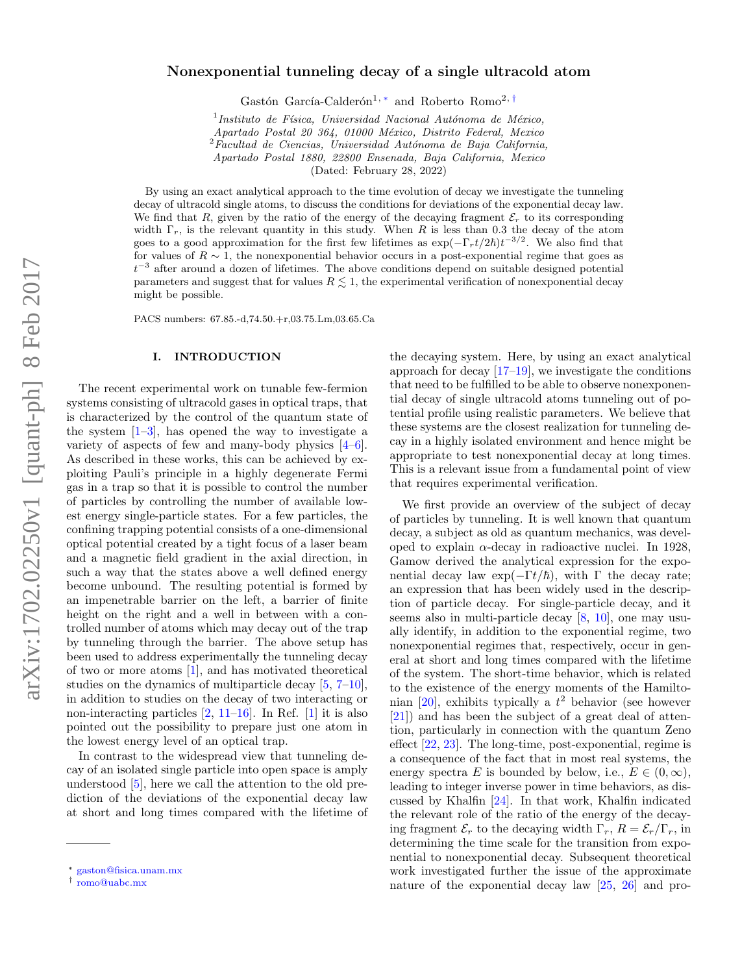# Nonexponential tunneling decay of a single ultracold atom

Gastón García-Calderón<sup>1, [∗](#page-0-0)</sup> and Roberto Romo<sup>2, [†](#page-0-1)</sup>

 $<sup>1</sup>$ Instituto de Física, Universidad Nacional Autónoma de México,</sup>

Apartado Postal 20 364, 01000 México, Distrito Federal, Mexico

 $2$ Facultad de Ciencias, Universidad Autónoma de Baja California,

Apartado Postal 1880, 22800 Ensenada, Baja California, Mexico

(Dated: February 28, 2022)

By using an exact analytical approach to the time evolution of decay we investigate the tunneling decay of ultracold single atoms, to discuss the conditions for deviations of the exponential decay law. We find that R, given by the ratio of the energy of the decaying fragment  $\mathcal{E}_r$  to its corresponding width  $\Gamma_r$ , is the relevant quantity in this study. When R is less than 0.3 the decay of the atom goes to a good approximation for the first few lifetimes as  $\exp(-\Gamma_r t/2\hbar)t^{-3/2}$ . We also find that for values of  $R \sim 1$ , the nonexponential behavior occurs in a post-exponential regime that goes as  $t^{-3}$  after around a dozen of lifetimes. The above conditions depend on suitable designed potential parameters and suggest that for values  $R \leq 1$ , the experimental verification of nonexponential decay might be possible.

PACS numbers: 67.85.-d,74.50.+r,03.75.Lm,03.65.Ca

### I. INTRODUCTION

The recent experimental work on tunable few-fermion systems consisting of ultracold gases in optical traps, that is characterized by the control of the quantum state of the system  $[1-3]$  $[1-3]$ , has opened the way to investigate a variety of aspects of few and many-body physics [\[4–](#page-8-2)[6\]](#page-8-3). As described in these works, this can be achieved by exploiting Pauli's principle in a highly degenerate Fermi gas in a trap so that it is possible to control the number of particles by controlling the number of available lowest energy single-particle states. For a few particles, the confining trapping potential consists of a one-dimensional optical potential created by a tight focus of a laser beam and a magnetic field gradient in the axial direction, in such a way that the states above a well defined energy become unbound. The resulting potential is formed by an impenetrable barrier on the left, a barrier of finite height on the right and a well in between with a controlled number of atoms which may decay out of the trap by tunneling through the barrier. The above setup has been used to address experimentally the tunneling decay of two or more atoms [\[1\]](#page-8-0), and has motivated theoretical studies on the dynamics of multiparticle decay [\[5,](#page-8-4) [7–](#page-8-5)[10\]](#page-8-6), in addition to studies on the decay of two interacting or non-interacting particles  $[2, 11-16]$  $[2, 11-16]$ . In Ref.  $[1]$  it is also pointed out the possibility to prepare just one atom in the lowest energy level of an optical trap.

In contrast to the widespread view that tunneling decay of an isolated single particle into open space is amply understood [\[5\]](#page-8-4), here we call the attention to the old prediction of the deviations of the exponential decay law at short and long times compared with the lifetime of

the decaying system. Here, by using an exact analytical approach for decay  $[17-19]$ , we investigate the conditions that need to be fulfilled to be able to observe nonexponential decay of single ultracold atoms tunneling out of potential profile using realistic parameters. We believe that these systems are the closest realization for tunneling decay in a highly isolated environment and hence might be appropriate to test nonexponential decay at long times. This is a relevant issue from a fundamental point of view that requires experimental verification.

We first provide an overview of the subject of decay of particles by tunneling. It is well known that quantum decay, a subject as old as quantum mechanics, was developed to explain  $\alpha$ -decay in radioactive nuclei. In 1928, Gamow derived the analytical expression for the exponential decay law  $exp(-\Gamma t/\hbar)$ , with Γ the decay rate; an expression that has been widely used in the description of particle decay. For single-particle decay, and it seems also in multi-particle decay [\[8,](#page-8-12) [10\]](#page-8-6), one may usually identify, in addition to the exponential regime, two nonexponential regimes that, respectively, occur in general at short and long times compared with the lifetime of the system. The short-time behavior, which is related to the existence of the energy moments of the Hamilto-nian [\[20\]](#page-8-13), exhibits typically a  $t^2$  behavior (see however [\[21\]](#page-8-14)) and has been the subject of a great deal of attention, particularly in connection with the quantum Zeno effect [\[22,](#page-8-15) [23\]](#page-8-16). The long-time, post-exponential, regime is a consequence of the fact that in most real systems, the energy spectra E is bounded by below, i.e.,  $E \in (0, \infty)$ , leading to integer inverse power in time behaviors, as discussed by Khalfin [\[24\]](#page-8-17). In that work, Khalfin indicated the relevant role of the ratio of the energy of the decaying fragment  $\mathcal{E}_r$  to the decaying width  $\Gamma_r$ ,  $R = \mathcal{E}_r/\Gamma_r$ , in determining the time scale for the transition from exponential to nonexponential decay. Subsequent theoretical work investigated further the issue of the approximate nature of the exponential decay law [\[25,](#page-8-18) [26\]](#page-8-19) and pro-

<span id="page-0-0"></span><sup>∗</sup> [gaston@fisica.unam.mx](mailto:gaston@fisica.unam.mx)

<span id="page-0-1"></span><sup>†</sup> [romo@uabc.mx](mailto:romo@uabc.mx)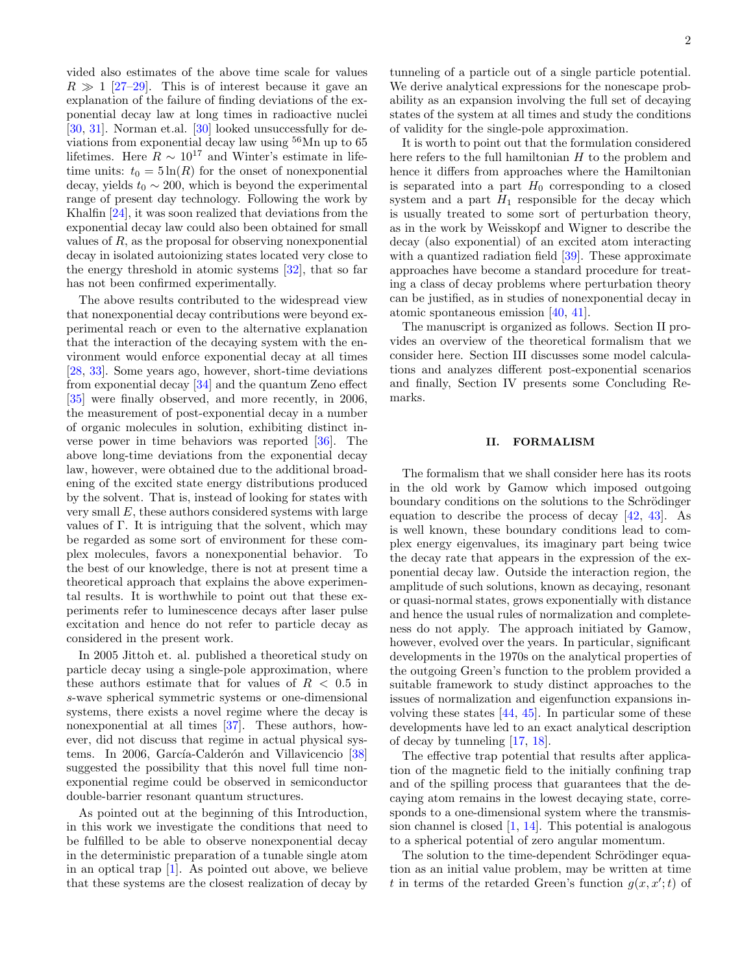vided also estimates of the above time scale for values  $R \gg 1$  [\[27](#page-8-20)[–29\]](#page-8-21). This is of interest because it gave an explanation of the failure of finding deviations of the exponential decay law at long times in radioactive nuclei [\[30,](#page-8-22) [31\]](#page-8-23). Norman et.al. [\[30\]](#page-8-22) looked unsuccessfully for deviations from exponential decay law using  $^{56}\mathrm{Mn}$  up to  $65$ lifetimes. Here  $R \sim 10^{17}$  and Winter's estimate in lifetime units:  $t_0 = 5 \ln(R)$  for the onset of nonexponential decay, yields  $t_0 \sim 200$ , which is beyond the experimental range of present day technology. Following the work by Khalfin [\[24\]](#page-8-17), it was soon realized that deviations from the exponential decay law could also been obtained for small values of  $R$ , as the proposal for observing nonexponential decay in isolated autoionizing states located very close to the energy threshold in atomic systems  $[32]$ , that so far has not been confirmed experimentally.

The above results contributed to the widespread view that nonexponential decay contributions were beyond experimental reach or even to the alternative explanation that the interaction of the decaying system with the environment would enforce exponential decay at all times [\[28,](#page-8-25) [33\]](#page-8-26). Some years ago, however, short-time deviations from exponential decay [\[34\]](#page-8-27) and the quantum Zeno effect [\[35\]](#page-8-28) were finally observed, and more recently, in 2006, the measurement of post-exponential decay in a number of organic molecules in solution, exhibiting distinct inverse power in time behaviors was reported [\[36\]](#page-8-29). The above long-time deviations from the exponential decay law, however, were obtained due to the additional broadening of the excited state energy distributions produced by the solvent. That is, instead of looking for states with very small E, these authors considered systems with large values of  $\Gamma$ . It is intriguing that the solvent, which may be regarded as some sort of environment for these complex molecules, favors a nonexponential behavior. To the best of our knowledge, there is not at present time a theoretical approach that explains the above experimental results. It is worthwhile to point out that these experiments refer to luminescence decays after laser pulse excitation and hence do not refer to particle decay as considered in the present work.

In 2005 Jittoh et. al. published a theoretical study on particle decay using a single-pole approximation, where these authors estimate that for values of  $R < 0.5$  in s-wave spherical symmetric systems or one-dimensional systems, there exists a novel regime where the decay is nonexponential at all times [\[37\]](#page-8-30). These authors, however, did not discuss that regime in actual physical sys-tems. In 2006, García-Calderón and Villavicencio [\[38\]](#page-8-31) suggested the possibility that this novel full time nonexponential regime could be observed in semiconductor double-barrier resonant quantum structures.

As pointed out at the beginning of this Introduction, in this work we investigate the conditions that need to be fulfilled to be able to observe nonexponential decay in the deterministic preparation of a tunable single atom in an optical trap [\[1\]](#page-8-0). As pointed out above, we believe that these systems are the closest realization of decay by

tunneling of a particle out of a single particle potential. We derive analytical expressions for the nonescape probability as an expansion involving the full set of decaying states of the system at all times and study the conditions of validity for the single-pole approximation.

It is worth to point out that the formulation considered here refers to the full hamiltonian  $H$  to the problem and hence it differs from approaches where the Hamiltonian is separated into a part  $H_0$  corresponding to a closed system and a part  $H_1$  responsible for the decay which is usually treated to some sort of perturbation theory, as in the work by Weisskopf and Wigner to describe the decay (also exponential) of an excited atom interacting with a quantized radiation field [\[39\]](#page-8-32). These approximate approaches have become a standard procedure for treating a class of decay problems where perturbation theory can be justified, as in studies of nonexponential decay in atomic spontaneous emission [\[40,](#page-8-33) [41\]](#page-8-34).

The manuscript is organized as follows. Section II provides an overview of the theoretical formalism that we consider here. Section III discusses some model calculations and analyzes different post-exponential scenarios and finally, Section IV presents some Concluding Remarks.

## II. FORMALISM

The formalism that we shall consider here has its roots in the old work by Gamow which imposed outgoing boundary conditions on the solutions to the Schrödinger equation to describe the process of decay [\[42,](#page-8-35) [43\]](#page-8-36). As is well known, these boundary conditions lead to complex energy eigenvalues, its imaginary part being twice the decay rate that appears in the expression of the exponential decay law. Outside the interaction region, the amplitude of such solutions, known as decaying, resonant or quasi-normal states, grows exponentially with distance and hence the usual rules of normalization and completeness do not apply. The approach initiated by Gamow, however, evolved over the years. In particular, significant developments in the 1970s on the analytical properties of the outgoing Green's function to the problem provided a suitable framework to study distinct approaches to the issues of normalization and eigenfunction expansions involving these states [\[44,](#page-9-0) [45\]](#page-9-1). In particular some of these developments have led to an exact analytical description of decay by tunneling [\[17,](#page-8-10) [18\]](#page-8-37).

The effective trap potential that results after application of the magnetic field to the initially confining trap and of the spilling process that guarantees that the decaying atom remains in the lowest decaying state, corresponds to a one-dimensional system where the transmission channel is closed [\[1,](#page-8-0) [14\]](#page-8-38). This potential is analogous to a spherical potential of zero angular momentum.

The solution to the time-dependent Schrödinger equation as an initial value problem, may be written at time t in terms of the retarded Green's function  $g(x, x';t)$  of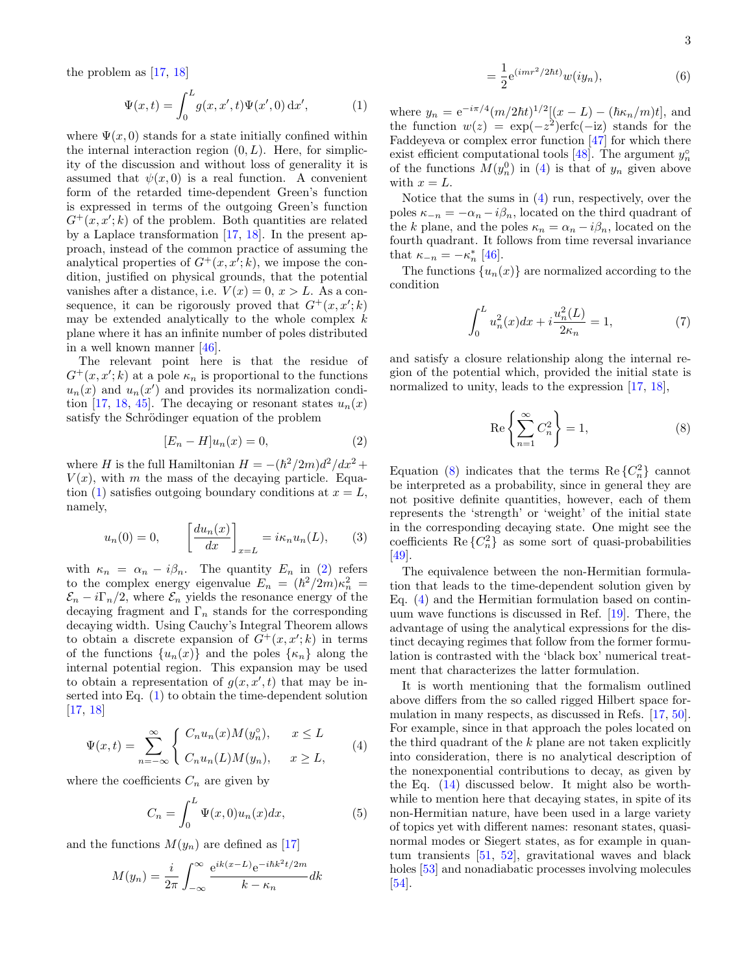the problem as [\[17,](#page-8-10) [18\]](#page-8-37)

<span id="page-2-0"></span>
$$
\Psi(x,t) = \int_0^L g(x, x', t)\Psi(x', 0) \, dx', \tag{1}
$$

where  $\Psi(x,0)$  stands for a state initially confined within the internal interaction region  $(0, L)$ . Here, for simplicity of the discussion and without loss of generality it is assumed that  $\psi(x, 0)$  is a real function. A convenient form of the retarded time-dependent Green's function is expressed in terms of the outgoing Green's function  $G^+(x, x'; k)$  of the problem. Both quantities are related by a Laplace transformation [\[17,](#page-8-10) [18\]](#page-8-37). In the present approach, instead of the common practice of assuming the analytical properties of  $G^+(x, x'; k)$ , we impose the condition, justified on physical grounds, that the potential vanishes after a distance, i.e.  $V(x) = 0, x > L$ . As a consequence, it can be rigorously proved that  $G^+(x, x'; k)$ may be extended analytically to the whole complex  $k$ plane where it has an infinite number of poles distributed in a well known manner [\[46\]](#page-9-2).

The relevant point here is that the residue of  $G^+(x, x'; k)$  at a pole  $\kappa_n$  is proportional to the functions  $u_n(x)$  and  $u_n(x')$  and provides its normalization condi-tion [\[17,](#page-8-10) [18,](#page-8-37) [45\]](#page-9-1). The decaying or resonant states  $u_n(x)$ satisfy the Schrödinger equation of the problem

<span id="page-2-1"></span>
$$
[E_n - H]u_n(x) = 0,\t\t(2)
$$

where H is the full Hamiltonian  $H = -(\hbar^2/2m)d^2/dx^2 +$  $V(x)$ , with m the mass of the decaying particle. Equa-tion [\(1\)](#page-2-0) satisfies outgoing boundary conditions at  $x = L$ , namely,

$$
u_n(0) = 0, \qquad \left[\frac{du_n(x)}{dx}\right]_{x=L} = i\kappa_n u_n(L), \qquad (3)
$$

with  $\kappa_n = \alpha_n - i\beta_n$ . The quantity  $E_n$  in [\(2\)](#page-2-1) refers to the complex energy eigenvalue  $E_n = (\hbar^2/2m)\kappa_n^2$  $\mathcal{E}_n - i\Gamma_n/2$ , where  $\mathcal{E}_n$  yields the resonance energy of the decaying fragment and  $\Gamma_n$  stands for the corresponding decaying width. Using Cauchy's Integral Theorem allows to obtain a discrete expansion of  $G^+(x, x'; k)$  in terms of the functions  $\{u_n(x)\}\$ and the poles  $\{\kappa_n\}\$ along the internal potential region. This expansion may be used to obtain a representation of  $g(x, x', t)$  that may be inserted into Eq. [\(1\)](#page-2-0) to obtain the time-dependent solution [\[17,](#page-8-10) [18\]](#page-8-37)

<span id="page-2-2"></span>
$$
\Psi(x,t) = \sum_{n=-\infty}^{\infty} \begin{cases} C_n u_n(x) M(y_n^o), & x \le L \\ C_n u_n(L) M(y_n), & x \ge L, \end{cases}
$$
(4)

where the coefficients  $C_n$  are given by

$$
C_n = \int_0^L \Psi(x,0)u_n(x)dx,\tag{5}
$$

and the functions  $M(y_n)$  are defined as [\[17\]](#page-8-10)

$$
M(y_n) = \frac{i}{2\pi} \int_{-\infty}^{\infty} \frac{e^{ik(x-L)}e^{-ihk^2t/2m}}{k - \kappa_n} dk
$$

$$
=\frac{1}{2}e^{(imr^2/2\hbar t)}w(iy_n),\tag{6}
$$

where  $y_n = e^{-i\pi/4} (m/2\hbar t)^{1/2} [(x-L) - (\hbar \kappa_n/m)t]$ , and the function  $w(z) = \exp(-z^2) \text{erfc}(-iz)$  stands for the Faddeyeva or complex error function [\[47\]](#page-9-3) for which there exist efficient computational tools [\[48\]](#page-9-4). The argument  $y_n^{\circ}$ of the functions  $M(y_n^0)$  in [\(4\)](#page-2-2) is that of  $y_n$  given above with  $x = L$ .

Notice that the sums in [\(4\)](#page-2-2) run, respectively, over the poles  $\kappa_{-n} = -\alpha_n - i\beta_n$ , located on the third quadrant of the k plane, and the poles  $\kappa_n = \alpha_n - i \beta_n,$  located on the fourth quadrant. It follows from time reversal invariance that  $\kappa_{-n} = -\kappa_n^*$  [\[46\]](#page-9-2).

The functions  $\{u_n(x)\}\$ are normalized according to the condition

$$
\int_{0}^{L} u_n^2(x)dx + i\frac{u_n^2(L)}{2\kappa_n} = 1,
$$
\n(7)

and satisfy a closure relationship along the internal region of the potential which, provided the initial state is normalized to unity, leads to the expression [\[17,](#page-8-10) [18\]](#page-8-37),

<span id="page-2-3"></span>
$$
\operatorname{Re}\left\{\sum_{n=1}^{\infty} C_n^2\right\} = 1,\tag{8}
$$

Equation [\(8\)](#page-2-3) indicates that the terms Re $\{C_n^2\}$  cannot be interpreted as a probability, since in general they are not positive definite quantities, however, each of them represents the 'strength' or 'weight' of the initial state in the corresponding decaying state. One might see the coefficients Re $\{C_n^2\}$  as some sort of quasi-probabilities [\[49\]](#page-9-5).

The equivalence between the non-Hermitian formulation that leads to the time-dependent solution given by Eq. [\(4\)](#page-2-2) and the Hermitian formulation based on continuum wave functions is discussed in Ref. [\[19\]](#page-8-11). There, the advantage of using the analytical expressions for the distinct decaying regimes that follow from the former formulation is contrasted with the 'black box' numerical treatment that characterizes the latter formulation.

It is worth mentioning that the formalism outlined above differs from the so called rigged Hilbert space formulation in many respects, as discussed in Refs. [\[17,](#page-8-10) [50\]](#page-9-6). For example, since in that approach the poles located on the third quadrant of the  $k$  plane are not taken explicitly into consideration, there is no analytical description of the nonexponential contributions to decay, as given by the Eq. [\(14\)](#page-3-0) discussed below. It might also be worthwhile to mention here that decaying states, in spite of its non-Hermitian nature, have been used in a large variety of topics yet with different names: resonant states, quasinormal modes or Siegert states, as for example in quantum transients [\[51,](#page-9-7) [52\]](#page-9-8), gravitational waves and black holes [\[53\]](#page-9-9) and nonadiabatic processes involving molecules [\[54\]](#page-9-10).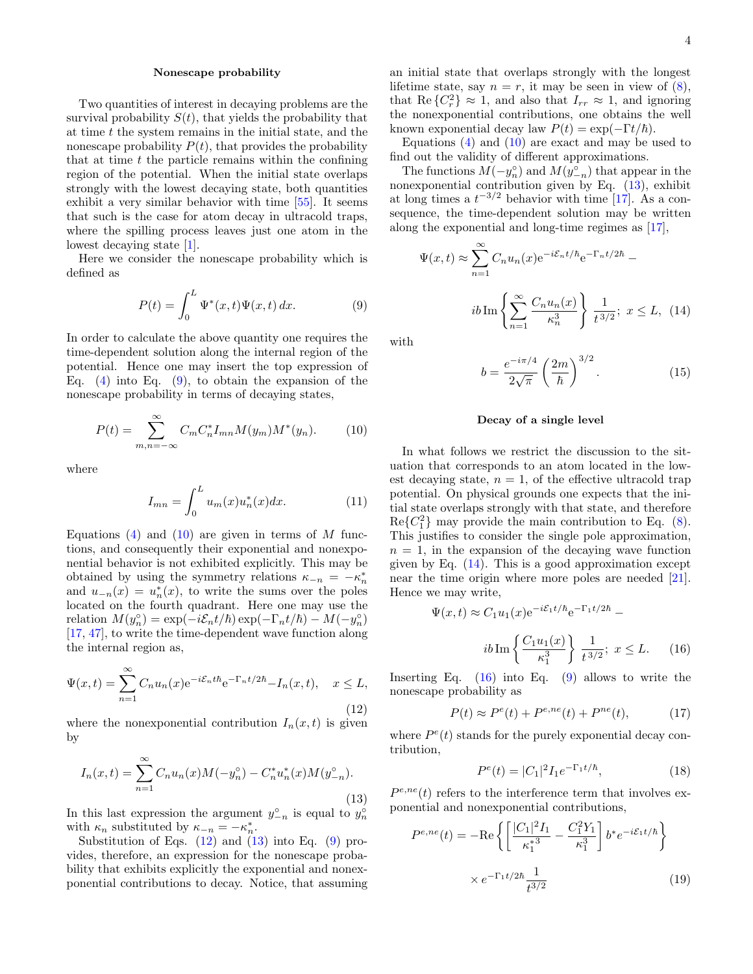#### Nonescape probability

Two quantities of interest in decaying problems are the survival probability  $S(t)$ , that yields the probability that at time t the system remains in the initial state, and the nonescape probability  $P(t)$ , that provides the probability that at time  $t$  the particle remains within the confining region of the potential. When the initial state overlaps strongly with the lowest decaying state, both quantities exhibit a very similar behavior with time [\[55\]](#page-9-11). It seems that such is the case for atom decay in ultracold traps, where the spilling process leaves just one atom in the lowest decaying state [\[1\]](#page-8-0).

Here we consider the nonescape probability which is defined as

<span id="page-3-1"></span>
$$
P(t) = \int_0^L \Psi^*(x, t)\Psi(x, t) \, dx. \tag{9}
$$

In order to calculate the above quantity one requires the time-dependent solution along the internal region of the potential. Hence one may insert the top expression of Eq.  $(4)$  into Eq.  $(9)$ , to obtain the expansion of the nonescape probability in terms of decaying states,

<span id="page-3-2"></span>
$$
P(t) = \sum_{m,n=-\infty}^{\infty} C_m C_n^* I_{mn} M(y_m) M^*(y_n).
$$
 (10)

where

$$
I_{mn} = \int_0^L u_m(x) u_n^*(x) dx.
$$
 (11)

Equations  $(4)$  and  $(10)$  are given in terms of M functions, and consequently their exponential and nonexponential behavior is not exhibited explicitly. This may be obtained by using the symmetry relations  $\kappa_{-n} = -\kappa_n^*$ and  $u_{-n}(x) = u_n^*(x)$ , to write the sums over the poles located on the fourth quadrant. Here one may use the relation  $M(y_n^{\circ}) = \exp(-i \mathcal{E}_n t/\hbar) \exp(-\Gamma_n t/\hbar) - M(-y_n^{\circ})$ [\[17,](#page-8-10) [47\]](#page-9-3), to write the time-dependent wave function along the internal region as,

<span id="page-3-3"></span>
$$
\Psi(x,t) = \sum_{n=1}^{\infty} C_n u_n(x) e^{-i\mathcal{E}_n t \hbar} e^{-\Gamma_n t/2\hbar} - I_n(x,t), \quad x \le L,
$$
\n(12)

where the nonexponential contribution  $I_n(x,t)$  is given by

<span id="page-3-4"></span>
$$
I_n(x,t) = \sum_{n=1}^{\infty} C_n u_n(x) M(-y_n^{\circ}) - C_n^* u_n^*(x) M(y_{-n}^{\circ}).
$$
\n(13)

In this last expression the argument  $y_{-n}^{\circ}$  is equal to  $y_n^{\circ}$ with  $\kappa_n$  substituted by  $\kappa_{-n} = -\kappa_n^*$ .

Substitution of Eqs.  $(12)$  and  $(13)$  into Eq.  $(9)$  provides, therefore, an expression for the nonescape probability that exhibits explicitly the exponential and nonexponential contributions to decay. Notice, that assuming an initial state that overlaps strongly with the longest lifetime state, say  $n = r$ , it may be seen in view of  $(8)$ , that Re  $\{C_r^2\} \approx 1$ , and also that  $I_{rr} \approx 1$ , and ignoring the nonexponential contributions, one obtains the well known exponential decay law  $P(t) = \exp(-\Gamma t/\hbar)$ .

Equations  $(4)$  and  $(10)$  are exact and may be used to find out the validity of different approximations.

The functions  $M(-y_n^{\circ})$  and  $M(y_{-n}^{\circ})$  that appear in the nonexponential contribution given by Eq. [\(13\)](#page-3-4), exhibit at long times a  $t^{-3/2}$  behavior with time [\[17\]](#page-8-10). As a consequence, the time-dependent solution may be written along the exponential and long-time regimes as [\[17\]](#page-8-10),

<span id="page-3-0"></span>
$$
\Psi(x,t) \approx \sum_{n=1}^{\infty} C_n u_n(x) e^{-i\mathcal{E}_n t/\hbar} e^{-\Gamma_n t/2\hbar} - i b \operatorname{Im} \left\{ \sum_{n=1}^{\infty} \frac{C_n u_n(x)}{\kappa_n^3} \right\} \frac{1}{t^{3/2}}; \ x \le L, \ (14)
$$

with

$$
b = \frac{e^{-i\pi/4}}{2\sqrt{\pi}} \left(\frac{2m}{\hbar}\right)^{3/2}.
$$
 (15)

### Decay of a single level

In what follows we restrict the discussion to the situation that corresponds to an atom located in the lowest decaying state,  $n = 1$ , of the effective ultracold trap potential. On physical grounds one expects that the initial state overlaps strongly with that state, and therefore  $Re{C_1^2}$  may provide the main contribution to Eq. [\(8\)](#page-2-3). This justifies to consider the single pole approximation,  $n = 1$ , in the expansion of the decaying wave function given by Eq.  $(14)$ . This is a good approximation except near the time origin where more poles are needed [\[21\]](#page-8-14). Hence we may write,

<span id="page-3-5"></span>
$$
\Psi(x,t) \approx C_1 u_1(x) e^{-i\mathcal{E}_1 t/\hbar} e^{-\Gamma_1 t/2\hbar} - i b \operatorname{Im} \left\{ \frac{C_1 u_1(x)}{\kappa_1^3} \right\} \frac{1}{t^{3/2}}; \ x \le L. \tag{16}
$$

Inserting Eq.  $(16)$  into Eq.  $(9)$  allows to write the nonescape probability as

<span id="page-3-7"></span>
$$
P(t) \approx P^{e}(t) + P^{e,ne}(t) + P^{ne}(t), \tag{17}
$$

where  $P^{e}(t)$  stands for the purely exponential decay contribution,

$$
P^{e}(t) = |C_1|^2 I_1 e^{-\Gamma_1 t/\hbar}, \qquad (18)
$$

 $P^{e,ne}(t)$  refers to the interference term that involves exponential and nonexponential contributions,

<span id="page-3-6"></span>
$$
P^{e,ne}(t) = -\text{Re}\left\{ \left[ \frac{|C_1|^2 I_1}{\kappa_1^{*3}} - \frac{C_1^2 Y_1}{\kappa_1^3} \right] b^* e^{-i\mathcal{E}_1 t/\hbar} \right\}
$$

$$
\times e^{-\Gamma_1 t/2\hbar} \frac{1}{t^{3/2}} \tag{19}
$$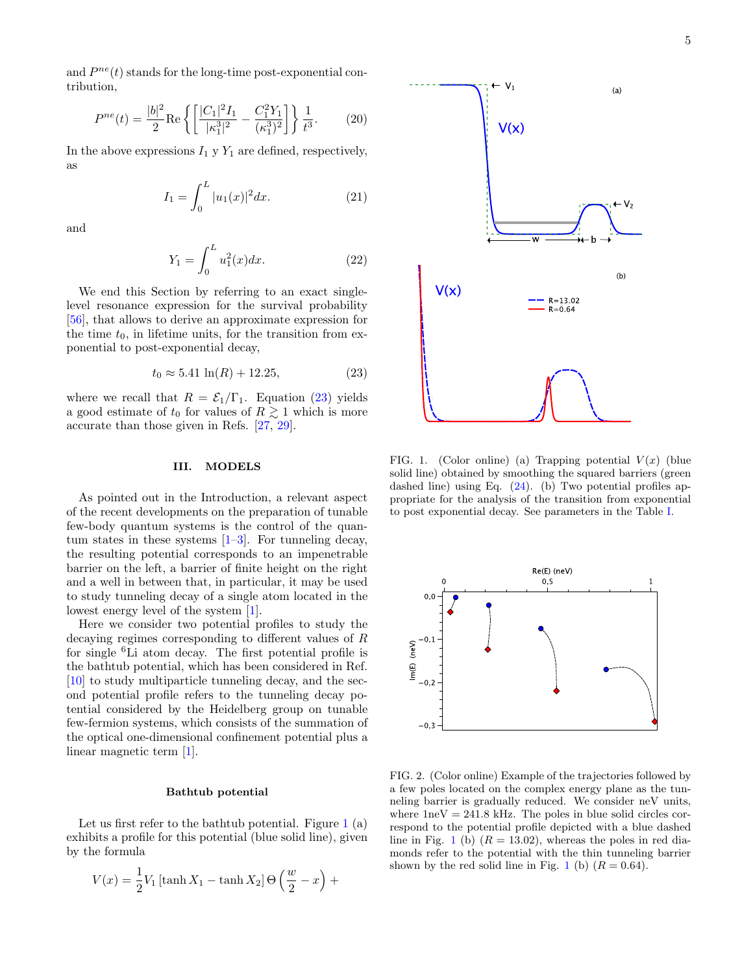and  $P^{ne}(t)$  stands for the long-time post-exponential contribution,

<span id="page-4-4"></span>
$$
P^{ne}(t) = \frac{|b|^2}{2} \text{Re}\left\{ \left[ \frac{|C_1|^2 I_1}{|\kappa_1^3|^2} - \frac{C_1^2 Y_1}{(\kappa_1^3)^2} \right] \right\} \frac{1}{t^3}.
$$
 (20)

In the above expressions  $I_1 \, y \, Y_1$  are defined, respectively, as

$$
I_1 = \int_0^L |u_1(x)|^2 dx.
$$
 (21)

and

$$
Y_1 = \int_0^L u_1^2(x) dx.
$$
 (22)

We end this Section by referring to an exact singlelevel resonance expression for the survival probability [\[56\]](#page-9-12), that allows to derive an approximate expression for the time  $t_0$ , in lifetime units, for the transition from exponential to post-exponential decay,

<span id="page-4-0"></span>
$$
t_0 \approx 5.41 \ln(R) + 12.25,\tag{23}
$$

where we recall that  $R = \mathcal{E}_1/\Gamma_1$ . Equation [\(23\)](#page-4-0) yields a good estimate of  $t_0$  for values of  $R \gtrsim 1$  which is more accurate than those given in Refs. [\[27,](#page-8-20) [29\]](#page-8-21).

## III. MODELS

As pointed out in the Introduction, a relevant aspect of the recent developments on the preparation of tunable few-body quantum systems is the control of the quantum states in these systems  $[1-3]$  $[1-3]$ . For tunneling decay, the resulting potential corresponds to an impenetrable barrier on the left, a barrier of finite height on the right and a well in between that, in particular, it may be used to study tunneling decay of a single atom located in the lowest energy level of the system [\[1\]](#page-8-0).

Here we consider two potential profiles to study the decaying regimes corresponding to different values of R for single <sup>6</sup>Li atom decay. The first potential profile is the bathtub potential, which has been considered in Ref. [\[10\]](#page-8-6) to study multiparticle tunneling decay, and the second potential profile refers to the tunneling decay potential considered by the Heidelberg group on tunable few-fermion systems, which consists of the summation of the optical one-dimensional confinement potential plus a linear magnetic term [\[1\]](#page-8-0).

### Bathtub potential

Let us first refer to the bathtub potential. Figure  $1(a)$  $1(a)$ exhibits a profile for this potential (blue solid line), given by the formula

<span id="page-4-2"></span>
$$
V(x) = \frac{1}{2}V_1\left[\tanh X_1 - \tanh X_2\right]\Theta\left(\frac{w}{2} - x\right) +
$$



<span id="page-4-1"></span>FIG. 1. (Color online) (a) Trapping potential  $V(x)$  (blue solid line) obtained by smoothing the squared barriers (green dashed line) using Eq. [\(24\)](#page-4-2). (b) Two potential profiles appropriate for the analysis of the transition from exponential to post exponential decay. See parameters in the Table [I.](#page-5-0)



<span id="page-4-3"></span>FIG. 2. (Color online) Example of the trajectories followed by a few poles located on the complex energy plane as the tunneling barrier is gradually reduced. We consider neV units, where  $1\text{neV} = 241.8 \text{ kHz}$ . The poles in blue solid circles correspond to the potential profile depicted with a blue dashed line in Fig. [1](#page-4-1) (b)  $(R = 13.02)$ , whereas the poles in red diamonds refer to the potential with the thin tunneling barrier shown by the red solid line in Fig. [1](#page-4-1) (b)  $(R = 0.64)$ .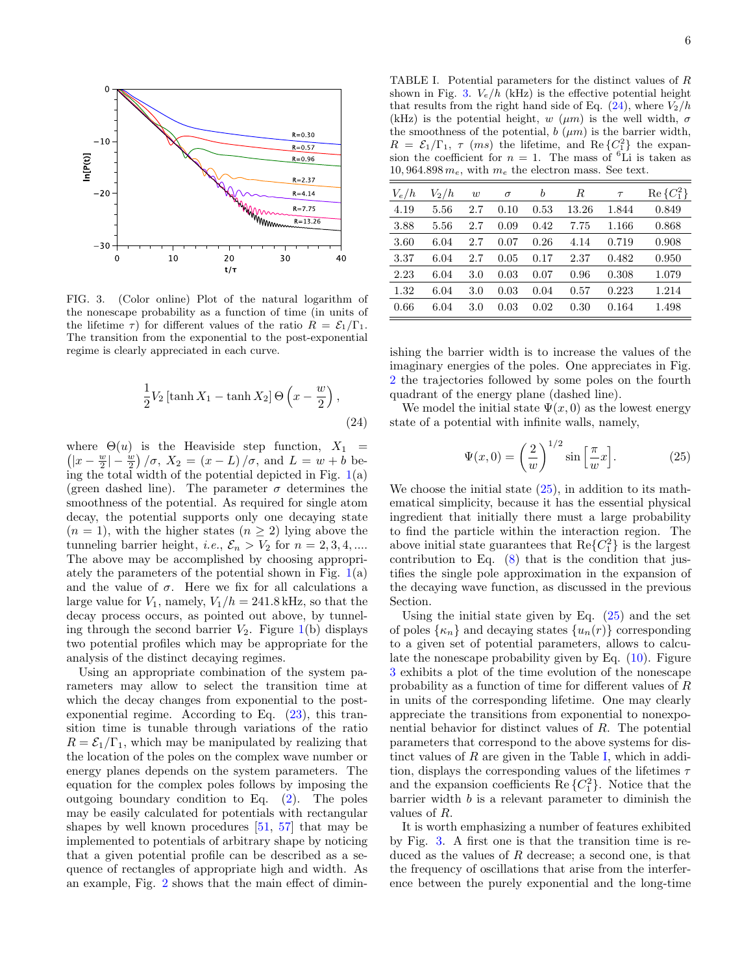

<span id="page-5-1"></span>FIG. 3. (Color online) Plot of the natural logarithm of the nonescape probability as a function of time (in units of the lifetime  $\tau$ ) for different values of the ratio  $R = \mathcal{E}_1/\Gamma_1$ . The transition from the exponential to the post-exponential regime is clearly appreciated in each curve.

$$
\frac{1}{2}V_2\left[\tanh X_1 - \tanh X_2\right] \Theta\left(x - \frac{w}{2}\right),\tag{24}
$$

 $\left(|x - \frac{w}{2}| - \frac{w}{2}\right)/\sigma$ ,  $X_2 = (x - L)/\sigma$ , and  $L = w + b$  bewhere  $\Theta(u)$  is the Heaviside step function,  $X_1$  = ing the total width of the potential depicted in Fig.  $1(a)$  $1(a)$ (green dashed line). The parameter  $\sigma$  determines the smoothness of the potential. As required for single atom decay, the potential supports only one decaying state  $(n = 1)$ , with the higher states  $(n \geq 2)$  lying above the tunneling barrier height, *i.e.*,  $\mathcal{E}_n > V_2$  for  $n = 2, 3, 4, ...$ The above may be accomplished by choosing appropriately the parameters of the potential shown in Fig.  $1(a)$  $1(a)$ and the value of  $\sigma$ . Here we fix for all calculations a large value for  $V_1$ , namely,  $V_1/h = 241.8$  kHz, so that the decay process occurs, as pointed out above, by tunneling through the second barrier  $V_2$ . Figure [1\(](#page-4-1)b) displays two potential profiles which may be appropriate for the analysis of the distinct decaying regimes.

Using an appropriate combination of the system parameters may allow to select the transition time at which the decay changes from exponential to the postexponential regime. According to Eq. [\(23\)](#page-4-0), this transition time is tunable through variations of the ratio  $R = \mathcal{E}_1/\Gamma_1$ , which may be manipulated by realizing that the location of the poles on the complex wave number or energy planes depends on the system parameters. The equation for the complex poles follows by imposing the outgoing boundary condition to Eq. [\(2\)](#page-2-1). The poles may be easily calculated for potentials with rectangular shapes by well known procedures [\[51,](#page-9-7) [57\]](#page-9-13) that may be implemented to potentials of arbitrary shape by noticing that a given potential profile can be described as a sequence of rectangles of appropriate high and width. As an example, Fig. [2](#page-4-3) shows that the main effect of dimin-

<span id="page-5-0"></span>TABLE I. Potential parameters for the distinct values of R shown in Fig. [3.](#page-5-1)  $V_e/h$  (kHz) is the effective potential height that results from the right hand side of Eq.  $(24)$ , where  $V_2/h$ (kHz) is the potential height, w ( $\mu$ m) is the well width,  $\sigma$ the smoothness of the potential,  $b(\mu m)$  is the barrier width,  $R = \mathcal{E}_1/\Gamma_1$ ,  $\tau$  (ms) the lifetime, and Re  $\{C_1^2\}$  the expansion the coefficient for  $n = 1$ . The mass of <sup>6</sup>Li is taken as 10, 964.898  $m_e$ , with  $m_e$  the electron mass. See text.

| $V_e/h$ | $V_2/h$ | w   | $\sigma$ | b    | R     | $\tau$ | $Re\{C_1^2\}$ |
|---------|---------|-----|----------|------|-------|--------|---------------|
| 4.19    | 5.56    | 2.7 | 0.10     | 0.53 | 13.26 | 1.844  | 0.849         |
| 3.88    | 5.56    | 2.7 | 0.09     | 0.42 | 7.75  | 1.166  | 0.868         |
| 3.60    | 6.04    | 2.7 | 0.07     | 0.26 | 4.14  | 0.719  | 0.908         |
| 3.37    | 6.04    | 2.7 | 0.05     | 0.17 | 2.37  | 0.482  | 0.950         |
| 2.23    | 6.04    | 3.0 | 0.03     | 0.07 | 0.96  | 0.308  | 1.079         |
| 1.32    | 6.04    | 3.0 | 0.03     | 0.04 | 0.57  | 0.223  | 1.214         |
| 0.66    | 6.04    | 3.0 | 0.03     | 0.02 | 0.30  | 0.164  | 1.498         |

ishing the barrier width is to increase the values of the imaginary energies of the poles. One appreciates in Fig. [2](#page-4-3) the trajectories followed by some poles on the fourth quadrant of the energy plane (dashed line).

We model the initial state  $\Psi(x, 0)$  as the lowest energy state of a potential with infinite walls, namely,

<span id="page-5-2"></span>
$$
\Psi(x,0) = \left(\frac{2}{w}\right)^{1/2} \sin\left[\frac{\pi}{w}x\right].\tag{25}
$$

We choose the initial state  $(25)$ , in addition to its mathematical simplicity, because it has the essential physical ingredient that initially there must a large probability to find the particle within the interaction region. The above initial state guarantees that  $\text{Re}\{C_1^2\}$  is the largest contribution to Eq.  $(8)$  that is the condition that justifies the single pole approximation in the expansion of the decaying wave function, as discussed in the previous Section.

Using the initial state given by Eq.  $(25)$  and the set of poles  $\{\kappa_n\}$  and decaying states  $\{u_n(r)\}\)$  corresponding to a given set of potential parameters, allows to calculate the nonescape probability given by Eq. [\(10\)](#page-3-2). Figure [3](#page-5-1) exhibits a plot of the time evolution of the nonescape probability as a function of time for different values of R in units of the corresponding lifetime. One may clearly appreciate the transitions from exponential to nonexponential behavior for distinct values of R. The potential parameters that correspond to the above systems for distinct values of  $R$  are given in the Table [I,](#page-5-0) which in addition, displays the corresponding values of the lifetimes  $\tau$ and the expansion coefficients Re  $\{C_1^2\}$ . Notice that the  $barrier$  width  $b$  is a relevant parameter to diminish the values of R.

It is worth emphasizing a number of features exhibited by Fig. [3.](#page-5-1) A first one is that the transition time is reduced as the values of R decrease; a second one, is that the frequency of oscillations that arise from the interference between the purely exponential and the long-time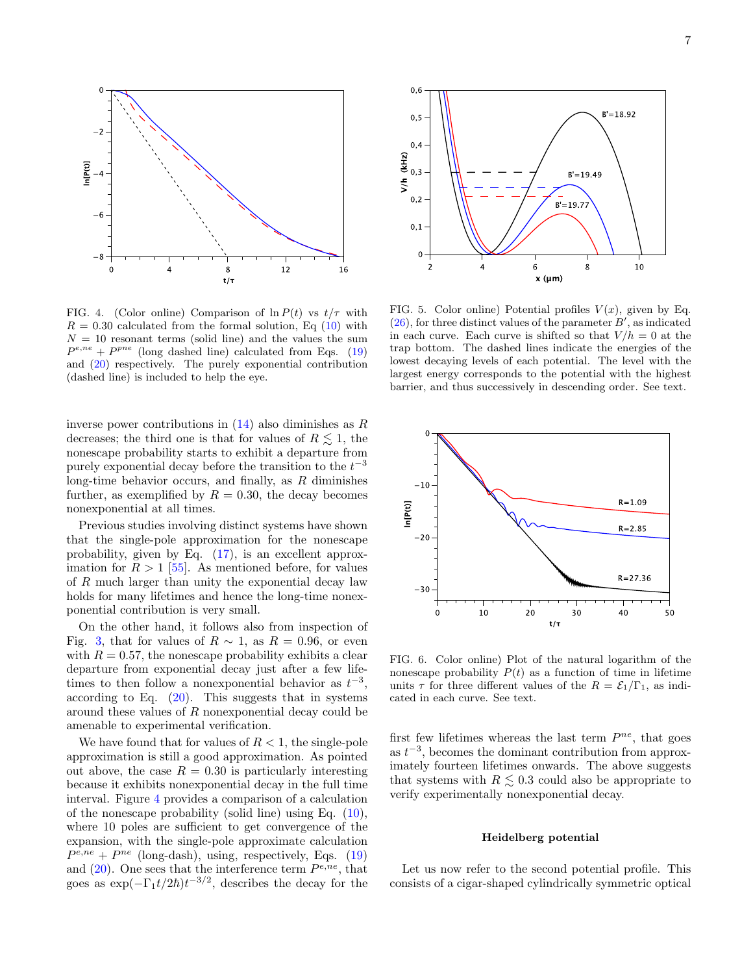

<span id="page-6-0"></span>FIG. 4. (Color online) Comparison of  $\ln P(t)$  vs  $t/\tau$  with  $R = 0.30$  calculated from the formal solution, Eq  $(10)$  with  $N = 10$  resonant terms (solid line) and the values the sum  $P^{e,ne} + P^{pne}$  (long dashed line) calculated from Eqs. [\(19\)](#page-3-6) and [\(20\)](#page-4-4) respectively. The purely exponential contribution (dashed line) is included to help the eye.

inverse power contributions in  $(14)$  also diminishes as R decreases; the third one is that for values of  $R \leq 1$ , the nonescape probability starts to exhibit a departure from purely exponential decay before the transition to the  $t^{-3}$ long-time behavior occurs, and finally, as  $R$  diminishes further, as exemplified by  $R = 0.30$ , the decay becomes nonexponential at all times.

Previous studies involving distinct systems have shown that the single-pole approximation for the nonescape probability, given by Eq. [\(17\)](#page-3-7), is an excellent approximation for  $R > 1$  [\[55\]](#page-9-11). As mentioned before, for values of  $R$  much larger than unity the exponential decay law holds for many lifetimes and hence the long-time nonexponential contribution is very small.

On the other hand, it follows also from inspection of Fig. [3,](#page-5-1) that for values of  $R \sim 1$ , as  $R = 0.96$ , or even with  $R = 0.57$ , the nonescape probability exhibits a clear departure from exponential decay just after a few lifetimes to then follow a nonexponential behavior as  $t^{-3}$ , according to Eq.  $(20)$ . This suggests that in systems around these values of R nonexponential decay could be amenable to experimental verification.

We have found that for values of  $R < 1$ , the single-pole approximation is still a good approximation. As pointed out above, the case  $R = 0.30$  is particularly interesting because it exhibits nonexponential decay in the full time interval. Figure [4](#page-6-0) provides a comparison of a calculation of the nonescape probability (solid line) using Eq.  $(10)$ , where 10 poles are sufficient to get convergence of the expansion, with the single-pole approximate calculation  $P^{e,ne} + P^{ne}$  (long-dash), using, respectively, Eqs. [\(19\)](#page-3-6) and  $(20)$ . One sees that the interference term  $P^{e,ne}$ , that goes as  $\exp(-\Gamma_1 t/2\hbar)t^{-3/2}$ , describes the decay for the



<span id="page-6-1"></span>FIG. 5. Color online) Potential profiles  $V(x)$ , given by Eq.  $(26)$ , for three distinct values of the parameter  $B'$ , as indicated in each curve. Each curve is shifted so that  $V/h = 0$  at the trap bottom. The dashed lines indicate the energies of the lowest decaying levels of each potential. The level with the largest energy corresponds to the potential with the highest barrier, and thus successively in descending order. See text.



<span id="page-6-2"></span>FIG. 6. Color online) Plot of the natural logarithm of the nonescape probability  $P(t)$  as a function of time in lifetime units  $\tau$  for three different values of the  $R = \mathcal{E}_1/\Gamma_1$ , as indicated in each curve. See text.

first few lifetimes whereas the last term  $P^{ne}$ , that goes as  $t^{-3}$ , becomes the dominant contribution from approximately fourteen lifetimes onwards. The above suggests that systems with  $R \leq 0.3$  could also be appropriate to verify experimentally nonexponential decay.

### Heidelberg potential

Let us now refer to the second potential profile. This consists of a cigar-shaped cylindrically symmetric optical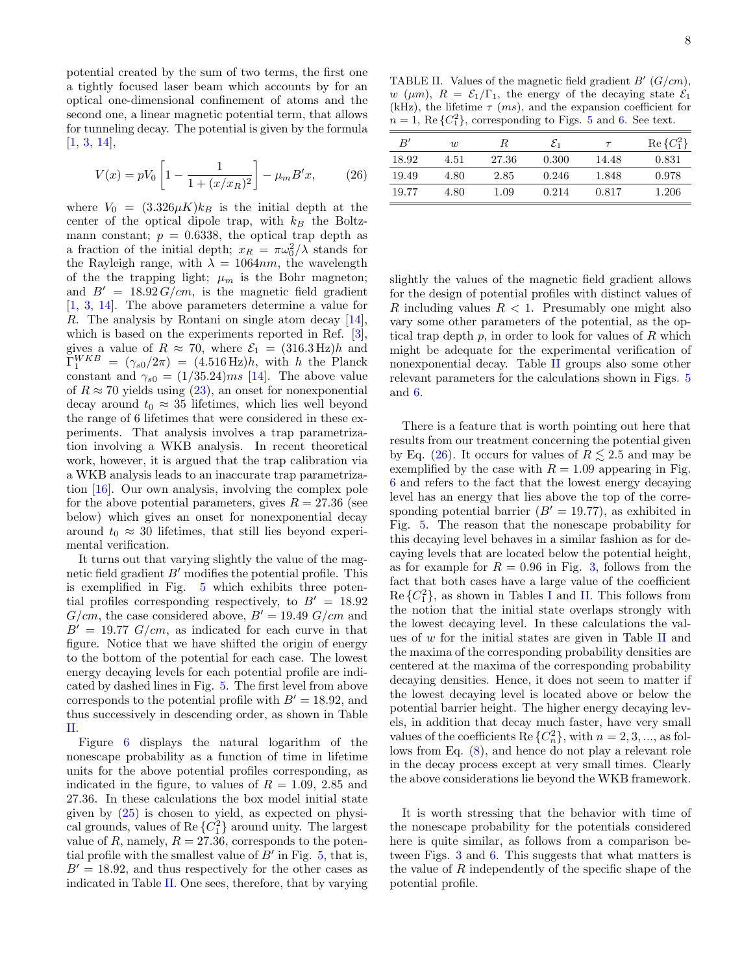potential created by the sum of two terms, the first one a tightly focused laser beam which accounts by for an optical one-dimensional confinement of atoms and the second one, a linear magnetic potential term, that allows for tunneling decay. The potential is given by the formula [\[1,](#page-8-0) [3,](#page-8-1) [14\]](#page-8-38),

<span id="page-7-0"></span>
$$
V(x) = pV_0 \left[ 1 - \frac{1}{1 + (x/x_R)^2} \right] - \mu_m B'x, \qquad (26)
$$

where  $V_0 = (3.326 \mu K) k_B$  is the initial depth at the center of the optical dipole trap, with  $k_B$  the Boltzmann constant;  $p = 0.6338$ , the optical trap depth as a fraction of the initial depth;  $x_R = \pi \omega_0^2 / \lambda$  stands for the Rayleigh range, with  $\lambda = 1064nm$ , the wavelength of the the trapping light;  $\mu_m$  is the Bohr magneton; and  $B' = 18.92 G/cm$ , is the magnetic field gradient [\[1,](#page-8-0) [3,](#page-8-1) [14\]](#page-8-38). The above parameters determine a value for R. The analysis by Rontani on single atom decay [\[14\]](#page-8-38), which is based on the experiments reported in Ref. [\[3\]](#page-8-1), gives a value of  $R \approx 70$ , where  $\mathcal{E}_1 = (316.3 \,\text{Hz})h$  and  $\Gamma_1^{WKB} = (\gamma_{s0}/2\pi) = (4.516 \,\text{Hz})h$ , with h the Planck constant and  $\gamma_{s0} = (1/35.24)ms$  [\[14\]](#page-8-38). The above value of  $R \approx 70$  yields using [\(23\)](#page-4-0), an onset for nonexponential decay around  $t_0 \approx 35$  lifetimes, which lies well beyond the range of 6 lifetimes that were considered in these experiments. That analysis involves a trap parametrization involving a WKB analysis. In recent theoretical work, however, it is argued that the trap calibration via a WKB analysis leads to an inaccurate trap parametrization [\[16\]](#page-8-9). Our own analysis, involving the complex pole for the above potential parameters, gives  $R = 27.36$  (see below) which gives an onset for nonexponential decay around  $t_0 \approx 30$  lifetimes, that still lies beyond experimental verification.

It turns out that varying slightly the value of the magnetic field gradient  $B'$  modifies the potential profile. This is exemplified in Fig. [5](#page-6-1) which exhibits three potential profiles corresponding respectively, to  $B' = 18.92$  $G/cm$ , the case considered above,  $B' = 19.49$   $G/cm$  and  $B' = 19.77$  G/cm, as indicated for each curve in that figure. Notice that we have shifted the origin of energy to the bottom of the potential for each case. The lowest energy decaying levels for each potential profile are indicated by dashed lines in Fig. [5.](#page-6-1) The first level from above corresponds to the potential profile with  $B' = 18.92$ , and thus successively in descending order, as shown in Table [II.](#page-7-1)

Figure [6](#page-6-2) displays the natural logarithm of the nonescape probability as a function of time in lifetime units for the above potential profiles corresponding, as indicated in the figure, to values of  $R = 1.09, 2.85$  and 27.36. In these calculations the box model initial state given by  $(25)$  is chosen to yield, as expected on physical grounds, values of Re ${C_1^2}$  around unity. The largest value of R, namely,  $R = 27.36$ , corresponds to the potential profile with the smallest value of  $B'$  in Fig. [5,](#page-6-1) that is,  $B' = 18.92$ , and thus respectively for the other cases as indicated in Table [II.](#page-7-1) One sees, therefore, that by varying

<span id="page-7-1"></span>TABLE II. Values of the magnetic field gradient  $B'(G/cm)$ , w ( $\mu$ m),  $R = \mathcal{E}_1/\Gamma_1$ , the energy of the decaying state  $\mathcal{E}_1$ (kHz), the lifetime  $\tau$  (*ms*), and the expansion coefficient for  $n = 1$ , Re  $\{C_1^2\}$ , corresponding to Figs. [5](#page-6-1) and [6.](#page-6-2) See text.

| B'    | $\overline{w}$ | R.    | $\varepsilon_1$ | $\tau$ | $Re\{C_1^2\}$ |
|-------|----------------|-------|-----------------|--------|---------------|
| 18.92 | 4.51           | 27.36 | 0.300           | 14.48  | 0.831         |
| 19.49 | 4.80           | 2.85  | 0.246           | 1.848  | 0.978         |
| 19.77 | 4.80           | 1.09  | 0.214           | 0.817  | 1.206         |

slightly the values of the magnetic field gradient allows for the design of potential profiles with distinct values of R including values  $R < 1$ . Presumably one might also vary some other parameters of the potential, as the optical trap depth  $p$ , in order to look for values of  $R$  which might be adequate for the experimental verification of nonexponential decay. Table [II](#page-7-1) groups also some other relevant parameters for the calculations shown in Figs. [5](#page-6-1) and [6.](#page-6-2)

There is a feature that is worth pointing out here that results from our treatment concerning the potential given by Eq. [\(26\)](#page-7-0). It occurs for values of  $R \leq 2.5$  and may be exemplified by the case with  $R = 1.09$  appearing in Fig. [6](#page-6-2) and refers to the fact that the lowest energy decaying level has an energy that lies above the top of the corresponding potential barrier ( $B' = 19.77$ ), as exhibited in Fig. [5.](#page-6-1) The reason that the nonescape probability for this decaying level behaves in a similar fashion as for decaying levels that are located below the potential height, as for example for  $R = 0.96$  in Fig. [3,](#page-5-1) follows from the fact that both cases have a large value of the coefficient  $\text{Re}\left\{C_1^2\right\}$ , as shown in Tables [I](#page-5-0) and [II.](#page-7-1) This follows from the notion that the initial state overlaps strongly with the lowest decaying level. In these calculations the values of  $w$  for the initial states are given in Table [II](#page-7-1) and the maxima of the corresponding probability densities are centered at the maxima of the corresponding probability decaying densities. Hence, it does not seem to matter if the lowest decaying level is located above or below the potential barrier height. The higher energy decaying levels, in addition that decay much faster, have very small values of the coefficients Re  $\{C_n^2\}$ , with  $n = 2, 3, ...,$  as follows from Eq. [\(8\)](#page-2-3), and hence do not play a relevant role in the decay process except at very small times. Clearly the above considerations lie beyond the WKB framework.

It is worth stressing that the behavior with time of the nonescape probability for the potentials considered here is quite similar, as follows from a comparison between Figs. [3](#page-5-1) and [6.](#page-6-2) This suggests that what matters is the value of R independently of the specific shape of the potential profile.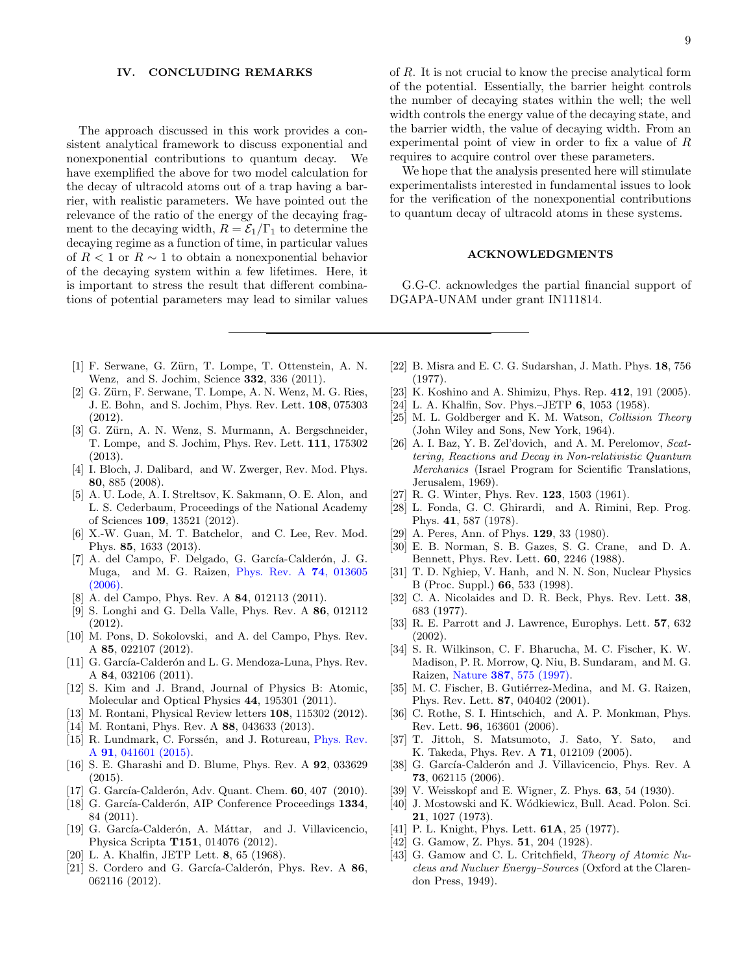#### IV. CONCLUDING REMARKS

The approach discussed in this work provides a consistent analytical framework to discuss exponential and nonexponential contributions to quantum decay. We have exemplified the above for two model calculation for the decay of ultracold atoms out of a trap having a barrier, with realistic parameters. We have pointed out the relevance of the ratio of the energy of the decaying fragment to the decaying width,  $R = \mathcal{E}_1/\Gamma_1$  to determine the decaying regime as a function of time, in particular values of  $R < 1$  or  $R \sim 1$  to obtain a nonexponential behavior of the decaying system within a few lifetimes. Here, it is important to stress the result that different combinations of potential parameters may lead to similar values of R. It is not crucial to know the precise analytical form of the potential. Essentially, the barrier height controls the number of decaying states within the well; the well width controls the energy value of the decaying state, and the barrier width, the value of decaying width. From an experimental point of view in order to fix a value of R requires to acquire control over these parameters.

We hope that the analysis presented here will stimulate experimentalists interested in fundamental issues to look for the verification of the nonexponential contributions to quantum decay of ultracold atoms in these systems.

### ACKNOWLEDGMENTS

G.G-C. acknowledges the partial financial support of DGAPA-UNAM under grant IN111814.

- <span id="page-8-0"></span>[1] F. Serwane, G. Zürn, T. Lompe, T. Ottenstein, A. N. Wenz, and S. Jochim, Science 332, 336 (2011).
- <span id="page-8-7"></span>[2] G. Zürn, F. Serwane, T. Lompe, A. N. Wenz, M. G. Ries, J. E. Bohn, and S. Jochim, Phys. Rev. Lett. 108, 075303 (2012).
- <span id="page-8-1"></span>[3] G. Zürn, A. N. Wenz, S. Murmann, A. Bergschneider, T. Lompe, and S. Jochim, Phys. Rev. Lett. 111, 175302 (2013).
- <span id="page-8-2"></span>[4] I. Bloch, J. Dalibard, and W. Zwerger, Rev. Mod. Phys. 80, 885 (2008).
- <span id="page-8-4"></span>[5] A. U. Lode, A. I. Streltsov, K. Sakmann, O. E. Alon, and L. S. Cederbaum, Proceedings of the National Academy of Sciences 109, 13521 (2012).
- <span id="page-8-3"></span>[6] X.-W. Guan, M. T. Batchelor, and C. Lee, Rev. Mod. Phys. 85, 1633 (2013).
- <span id="page-8-5"></span>[7] A. del Campo, F. Delgado, G. García-Calderón, J. G. Muga, and M. G. Raizen, [Phys. Rev. A](http://dx.doi.org/10.1103/PhysRevA.74.013605) 74, 013605 [\(2006\).](http://dx.doi.org/10.1103/PhysRevA.74.013605)
- <span id="page-8-12"></span>[8] A. del Campo, Phys. Rev. A **84**, 012113 (2011).
- [9] S. Longhi and G. Della Valle, Phys. Rev. A 86, 012112 (2012).
- <span id="page-8-6"></span>[10] M. Pons, D. Sokolovski, and A. del Campo, Phys. Rev. A 85, 022107 (2012).
- <span id="page-8-8"></span>[11] G. García-Calderón and L. G. Mendoza-Luna, Phys. Rev. A 84, 032106 (2011).
- [12] S. Kim and J. Brand, Journal of Physics B: Atomic, Molecular and Optical Physics 44, 195301 (2011).
- [13] M. Rontani, Physical Review letters 108, 115302 (2012).
- <span id="page-8-38"></span>[14] M. Rontani, Phys. Rev. A 88, 043633 (2013).
- [15] R. Lundmark, C. Forssén, and J. Rotureau, [Phys. Rev.](http://dx.doi.org/10.1103/PhysRevA.91.041601) A 91[, 041601 \(2015\).](http://dx.doi.org/10.1103/PhysRevA.91.041601)
- <span id="page-8-9"></span>[16] S. E. Gharashi and D. Blume, Phys. Rev. A 92, 033629 (2015).
- <span id="page-8-10"></span>[17] G. García-Calderón, Adv. Quant. Chem. 60, 407 (2010).
- <span id="page-8-37"></span>[18] G. García-Calderón, AIP Conference Proceedings 1334, 84 (2011).
- <span id="page-8-11"></span>[19] G. García-Calderón, A. Máttar, and J. Villavicencio, Physica Scripta T151, 014076 (2012).
- <span id="page-8-13"></span>[20] L. A. Khalfin, JETP Lett. 8, 65 (1968).
- <span id="page-8-14"></span>[21] S. Cordero and G. García-Calderón, Phys. Rev. A 86, 062116 (2012).
- <span id="page-8-15"></span>[22] B. Misra and E. C. G. Sudarshan, J. Math. Phys. 18, 756 (1977).
- <span id="page-8-16"></span>[23] K. Koshino and A. Shimizu, Phys. Rep. 412, 191 (2005).
- <span id="page-8-17"></span>[24] L. A. Khalfin, Sov. Phys.–JETP 6, 1053 (1958).
- <span id="page-8-18"></span>[25] M. L. Goldberger and K. M. Watson, Collision Theory (John Wiley and Sons, New York, 1964).
- <span id="page-8-19"></span>[26] A. I. Baz, Y. B. Zel'dovich, and A. M. Perelomov, Scattering, Reactions and Decay in Non-relativistic Quantum Merchanics (Israel Program for Scientific Translations, Jerusalem, 1969).
- <span id="page-8-20"></span>[27] R. G. Winter, Phys. Rev. 123, 1503 (1961).
- <span id="page-8-25"></span>[28] L. Fonda, G. C. Ghirardi, and A. Rimini, Rep. Prog. Phys. 41, 587 (1978).
- <span id="page-8-21"></span>[29] A. Peres, Ann. of Phys. 129, 33 (1980).
- <span id="page-8-22"></span>[30] E. B. Norman, S. B. Gazes, S. G. Crane, and D. A. Bennett, Phys. Rev. Lett. 60, 2246 (1988).
- <span id="page-8-23"></span>[31] T. D. Nghiep, V. Hanh, and N. N. Son, Nuclear Physics B (Proc. Suppl.) 66, 533 (1998).
- <span id="page-8-24"></span>[32] C. A. Nicolaides and D. R. Beck, Phys. Rev. Lett. 38, 683 (1977).
- <span id="page-8-26"></span>[33] R. E. Parrott and J. Lawrence, Europhys. Lett. 57, 632 (2002).
- <span id="page-8-27"></span>[34] S. R. Wilkinson, C. F. Bharucha, M. C. Fischer, K. W. Madison, P. R. Morrow, Q. Niu, B. Sundaram, and M. G. Raizen, Nature 387[, 575 \(1997\).](http://dx.doi.org/ 10.1038/42418)
- <span id="page-8-28"></span>[35] M. C. Fischer, B. Gutiérrez-Medina, and M. G. Raizen, Phys. Rev. Lett. 87, 040402 (2001).
- <span id="page-8-29"></span>[36] C. Rothe, S. I. Hintschich, and A. P. Monkman, Phys. Rev. Lett. 96, 163601 (2006).
- <span id="page-8-30"></span>[37] T. Jittoh, S. Matsumoto, J. Sato, Y. Sato, and K. Takeda, Phys. Rev. A 71, 012109 (2005).
- <span id="page-8-31"></span>[38] G. García-Calderón and J. Villavicencio, Phys. Rev. A 73, 062115 (2006).
- <span id="page-8-32"></span>[39] V. Weisskopf and E. Wigner, Z. Phys. 63, 54 (1930).
- <span id="page-8-33"></span>[40] J. Mostowski and K. Wódkiewicz, Bull. Acad. Polon. Sci. 21, 1027 (1973).
- <span id="page-8-34"></span>[41] P. L. Knight, Phys. Lett. **61A**, 25 (1977).
- <span id="page-8-35"></span>[42] G. Gamow, Z. Phys. **51**, 204 (1928).
- <span id="page-8-36"></span>[43] G. Gamow and C. L. Critchfield, Theory of Atomic Nucleus and Nucluer Energy–Sources (Oxford at the Clarendon Press, 1949).